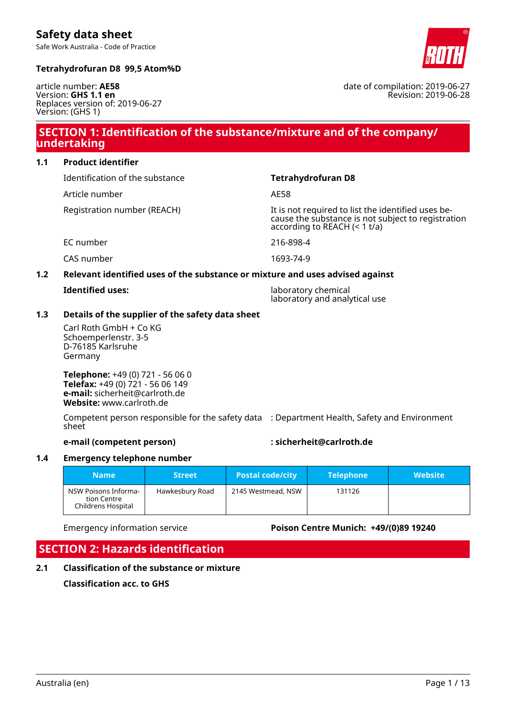Safe Work Australia - Code of Practice

# **Tetrahydrofuran D8 99,5 Atom%D**



Revision: 2019-06-28

date of compilation: 2019-06-27

article number: **AE58** Version: **GHS 1.1 en** Replaces version of: 2019-06-27 Version: (GHS 1)

# **SECTION 1: Identification of the substance/mixture and of the company/ undertaking**

**1.1 Product identifier**

Identification of the substance **Tetrahydrofuran D8**

Article number AF58

Registration number (REACH) It is not required to list the identified uses because the substance is not subject to registration according to REACH (< 1 t/a)

EC number 216-898-4

CAS number 1693-74-9

# **1.2 Relevant identified uses of the substance or mixture and uses advised against**

**Identified uses:** laboratory chemical laboratory and analytical use

# **1.3 Details of the supplier of the safety data sheet**

Carl Roth GmbH + Co KG Schoemperlenstr. 3-5 D-76185 Karlsruhe Germany

**Telephone:** +49 (0) 721 - 56 06 0 **Telefax:** +49 (0) 721 - 56 06 149 **e-mail:** sicherheit@carlroth.de **Website:** www.carlroth.de

Competent person responsible for the safety data : Department Health, Safety and Environment sheet

# **e-mail (competent person) : sicherheit@carlroth.de**

# **1.4 Emergency telephone number**

| <b>Name</b>                                               | <b>Street</b>   | <b>Postal code/city</b> | Telephone | <b>Website</b> |
|-----------------------------------------------------------|-----------------|-------------------------|-----------|----------------|
| NSW Poisons Informa-<br>tion Centre<br>Childrens Hospital | Hawkesbury Road | 2145 Westmead, NSW      | 131126    |                |

Emergency information service **Poison Centre Munich: +49/(0)89 19240**

# **SECTION 2: Hazards identification**

**2.1 Classification of the substance or mixture**

**Classification acc. to GHS**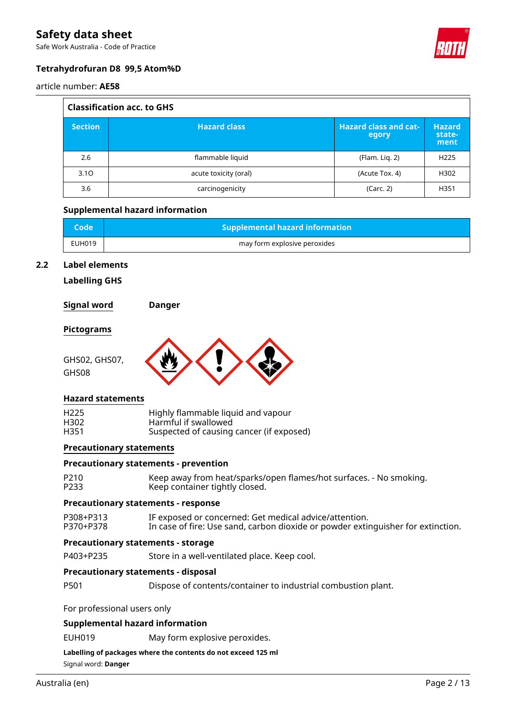Safe Work Australia - Code of Practice



# **Tetrahydrofuran D8 99,5 Atom%D**

article number: **AE58**

| <b>Classification acc. to GHS</b> |                       |                                       |                                 |  |
|-----------------------------------|-----------------------|---------------------------------------|---------------------------------|--|
| <b>Section</b>                    | <b>Hazard class</b>   | <b>Hazard class and cat-</b><br>egory | <b>Hazard</b><br>state-<br>ment |  |
| 2.6                               | flammable liquid      | (Flam. Lig. 2)                        | H <sub>225</sub>                |  |
| 3.10                              | acute toxicity (oral) | (Acute Tox. 4)                        | H302                            |  |
| 3.6                               | carcinogenicity       | (Carc. 2)                             | H351                            |  |

## **Supplemental hazard information**

| <b>Code</b> | <b>Supplemental hazard information</b> |
|-------------|----------------------------------------|
| EUH019      | may form explosive peroxides           |

## **2.2 Label elements**

**Labelling GHS**

**Signal word Danger**

#### **Pictograms**

GHS02, GHS07,

GHS08



## **Hazard statements**

| H <sub>225</sub> | Highly flammable liquid and vapour       |
|------------------|------------------------------------------|
| H302             | Harmful if swallowed                     |
| H351             | Suspected of causing cancer (if exposed) |

#### **Precautionary statements**

# **Precautionary statements - prevention**

| P210 | Keep away from heat/sparks/open flames/hot surfaces. - No smoking. |
|------|--------------------------------------------------------------------|
| P233 | Keep container tightly closed.                                     |

#### **Precautionary statements - response**

P308+P313 IF exposed or concerned: Get medical advice/attention.<br>P370+P378 In case of fire: Use sand, carbon dioxide or powder extir In case of fire: Use sand, carbon dioxide or powder extinguisher for extinction.

## **Precautionary statements - storage**

P403+P235 Store in a well-ventilated place. Keep cool.

# **Precautionary statements - disposal**

P501 Dispose of contents/container to industrial combustion plant.

For professional users only

#### **Supplemental hazard information**

EUH019 May form explosive peroxides.

#### **Labelling of packages where the contents do not exceed 125 ml**

Signal word: **Danger**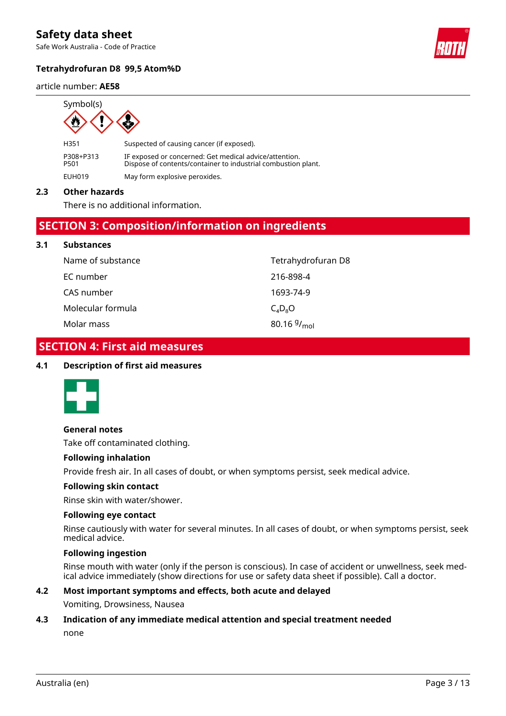Safe Work Australia - Code of Practice

# **Tetrahydrofuran D8 99,5 Atom%D**

#### article number: **AE58**



H351 Suspected of causing cancer (if exposed). P308+P313 IF exposed or concerned: Get medical advice/attention. Dispose of contents/container to industrial combustion plant. EUH019 May form explosive peroxides.

## **2.3 Other hazards**

**3.1 Substances**

There is no additional information.

# **SECTION 3: Composition/information on ingredients**

| <b>Substances</b> |                         |
|-------------------|-------------------------|
| Name of substance | Tetrahydrofuran D8      |
| EC number         | 216-898-4               |
| CAS number        | 1693-74-9               |
| Molecular formula | $C_4D_8O$               |
| Molar mass        | 80.16 $9/_{\text{mol}}$ |

# **SECTION 4: First aid measures**

## **4.1 Description of first aid measures**



## **General notes**

Take off contaminated clothing.

#### **Following inhalation**

Provide fresh air. In all cases of doubt, or when symptoms persist, seek medical advice.

#### **Following skin contact**

Rinse skin with water/shower.

#### **Following eye contact**

Rinse cautiously with water for several minutes. In all cases of doubt, or when symptoms persist, seek medical advice.

#### **Following ingestion**

Rinse mouth with water (only if the person is conscious). In case of accident or unwellness, seek medical advice immediately (show directions for use or safety data sheet if possible). Call a doctor.

# **4.2 Most important symptoms and effects, both acute and delayed**

Vomiting, Drowsiness, Nausea

## **4.3 Indication of any immediate medical attention and special treatment needed**

none

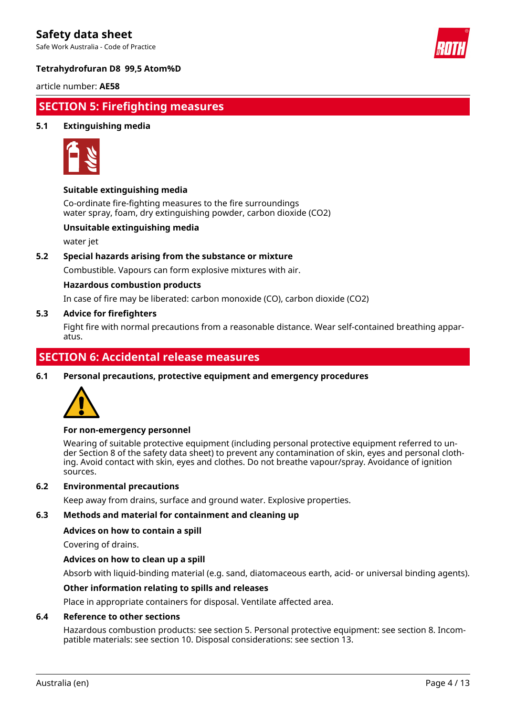Safe Work Australia - Code of Practice



# **Tetrahydrofuran D8 99,5 Atom%D**

article number: **AE58**

# **SECTION 5: Firefighting measures**

# **5.1 Extinguishing media**



# **Suitable extinguishing media**

Co-ordinate fire-fighting measures to the fire surroundings water spray, foam, dry extinguishing powder, carbon dioxide (CO2)

# **Unsuitable extinguishing media**

water jet

# **5.2 Special hazards arising from the substance or mixture**

Combustible. Vapours can form explosive mixtures with air.

## **Hazardous combustion products**

In case of fire may be liberated: carbon monoxide (CO), carbon dioxide (CO2)

# **5.3 Advice for firefighters**

Fight fire with normal precautions from a reasonable distance. Wear self-contained breathing apparatus.

# **SECTION 6: Accidental release measures**

**6.1 Personal precautions, protective equipment and emergency procedures**



## **For non-emergency personnel**

Wearing of suitable protective equipment (including personal protective equipment referred to under Section 8 of the safety data sheet) to prevent any contamination of skin, eyes and personal clothing. Avoid contact with skin, eyes and clothes. Do not breathe vapour/spray. Avoidance of ignition sources.

#### **6.2 Environmental precautions**

Keep away from drains, surface and ground water. Explosive properties.

#### **6.3 Methods and material for containment and cleaning up**

#### **Advices on how to contain a spill**

Covering of drains.

# **Advices on how to clean up a spill**

Absorb with liquid-binding material (e.g. sand, diatomaceous earth, acid- or universal binding agents).

#### **Other information relating to spills and releases**

Place in appropriate containers for disposal. Ventilate affected area.

#### **6.4 Reference to other sections**

Hazardous combustion products: see section 5. Personal protective equipment: see section 8. Incompatible materials: see section 10. Disposal considerations: see section 13.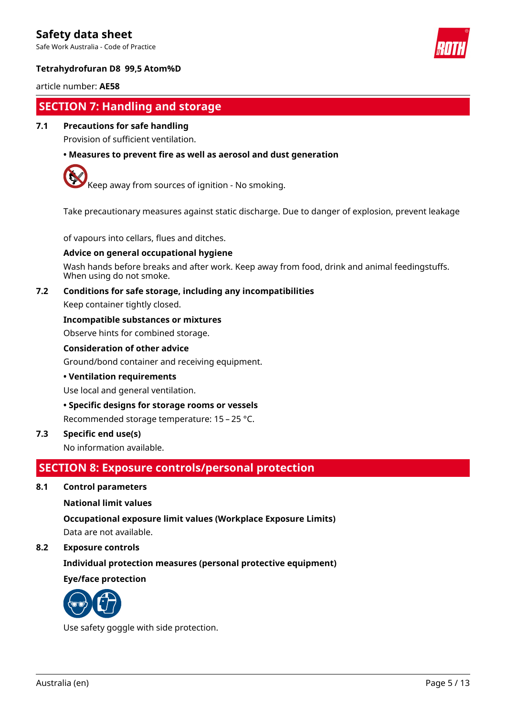Safe Work Australia - Code of Practice



# **Tetrahydrofuran D8 99,5 Atom%D**

## article number: **AE58**

# **SECTION 7: Handling and storage**

# **7.1 Precautions for safe handling**

Provision of sufficient ventilation.

# **• Measures to prevent fire as well as aerosol and dust generation**



 $\sqrt{\frac{1}{1}}$  Keep away from sources of ignition - No smoking.

Take precautionary measures against static discharge. Due to danger of explosion, prevent leakage

of vapours into cellars, flues and ditches.

## **Advice on general occupational hygiene**

Wash hands before breaks and after work. Keep away from food, drink and animal feedingstuffs. When using do not smoke.

## **7.2 Conditions for safe storage, including any incompatibilities**

Keep container tightly closed.

## **Incompatible substances or mixtures**

Observe hints for combined storage.

#### **Consideration of other advice**

Ground/bond container and receiving equipment.

#### **• Ventilation requirements**

Use local and general ventilation.

## **• Specific designs for storage rooms or vessels**

Recommended storage temperature: 15 – 25 °C.

# **7.3 Specific end use(s)**

No information available.

# **SECTION 8: Exposure controls/personal protection**

**8.1 Control parameters**

## **National limit values**

## **Occupational exposure limit values (Workplace Exposure Limits)**

Data are not available.

# **8.2 Exposure controls**

# **Individual protection measures (personal protective equipment)**

**Eye/face protection**



Use safety goggle with side protection.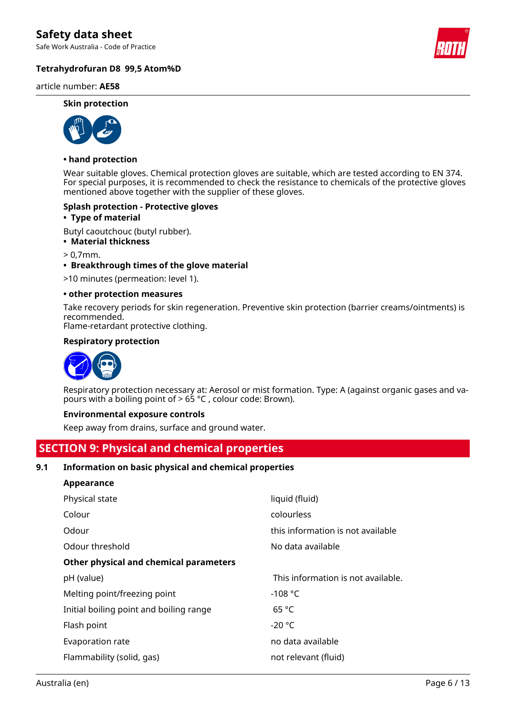Safe Work Australia - Code of Practice

# **Tetrahydrofuran D8 99,5 Atom%D**

article number: **AE58**

#### **Skin protection**



#### **• hand protection**

Wear suitable gloves. Chemical protection gloves are suitable, which are tested according to EN 374. For special purposes, it is recommended to check the resistance to chemicals of the protective gloves mentioned above together with the supplier of these gloves.

#### **Splash protection - Protective gloves**

#### **• Type of material**

Butyl caoutchouc (butyl rubber).

**• Material thickness**

> 0,7mm.

**• Breakthrough times of the glove material**

>10 minutes (permeation: level 1).

#### **• other protection measures**

Take recovery periods for skin regeneration. Preventive skin protection (barrier creams/ointments) is recommended.

Flame-retardant protective clothing.

## **Respiratory protection**



Respiratory protection necessary at: Aerosol or mist formation. Type: A (against organic gases and vapours with a boiling point of > 65 °C , colour code: Brown).

#### **Environmental exposure controls**

Keep away from drains, surface and ground water.

# **SECTION 9: Physical and chemical properties**

## **9.1 Information on basic physical and chemical properties**

| <b>Appearance</b>                       |                                    |  |  |  |
|-----------------------------------------|------------------------------------|--|--|--|
| Physical state                          | liquid (fluid)                     |  |  |  |
| Colour                                  | colourless                         |  |  |  |
| Odour                                   | this information is not available  |  |  |  |
| Odour threshold                         | No data available                  |  |  |  |
| Other physical and chemical parameters  |                                    |  |  |  |
| pH (value)                              | This information is not available. |  |  |  |
| Melting point/freezing point            | $-108 °C$                          |  |  |  |
| Initial boiling point and boiling range | 65 °C                              |  |  |  |
| Flash point                             | $-20 °C$                           |  |  |  |
| Evaporation rate                        | no data available                  |  |  |  |
| Flammability (solid, gas)               | not relevant (fluid)               |  |  |  |
|                                         |                                    |  |  |  |

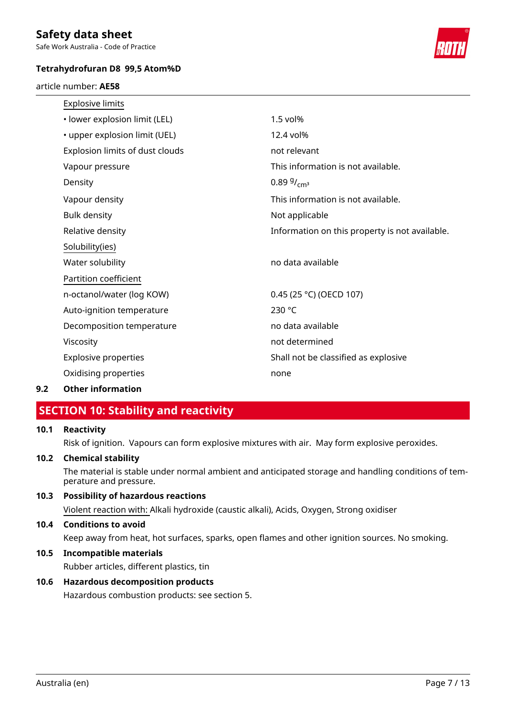Safe Work Australia - Code of Practice

# **Tetrahydrofuran D8 99,5 Atom%D**

article number: **AE58**



| <b>Explosive limits</b>         |                                                |
|---------------------------------|------------------------------------------------|
| · lower explosion limit (LEL)   | $1.5$ vol $%$                                  |
| • upper explosion limit (UEL)   | 12.4 vol%                                      |
| Explosion limits of dust clouds | not relevant                                   |
| Vapour pressure                 | This information is not available.             |
| Density                         | 0.89 $9/_{cm^3}$                               |
| Vapour density                  | This information is not available.             |
| <b>Bulk density</b>             | Not applicable                                 |
| Relative density                | Information on this property is not available. |
| Solubility(ies)                 |                                                |
| Water solubility                | no data available                              |
| Partition coefficient           |                                                |
| n-octanol/water (log KOW)       | 0.45 (25 °C) (OECD 107)                        |
| Auto-ignition temperature       | 230 °C                                         |
| Decomposition temperature       | no data available                              |
| Viscosity                       | not determined                                 |
| <b>Explosive properties</b>     | Shall not be classified as explosive           |
| Oxidising properties            | none                                           |
|                                 |                                                |

# **9.2 Other information**

# **SECTION 10: Stability and reactivity**

# **10.1 Reactivity**

Risk of ignition. Vapours can form explosive mixtures with air. May form explosive peroxides.

## **10.2 Chemical stability**

The material is stable under normal ambient and anticipated storage and handling conditions of temperature and pressure.

# **10.3 Possibility of hazardous reactions**

Violent reaction with: Alkali hydroxide (caustic alkali), Acids, Oxygen, Strong oxidiser

# **10.4 Conditions to avoid**

Keep away from heat, hot surfaces, sparks, open flames and other ignition sources. No smoking.

# **10.5 Incompatible materials**

Rubber articles, different plastics, tin

# **10.6 Hazardous decomposition products**

Hazardous combustion products: see section 5.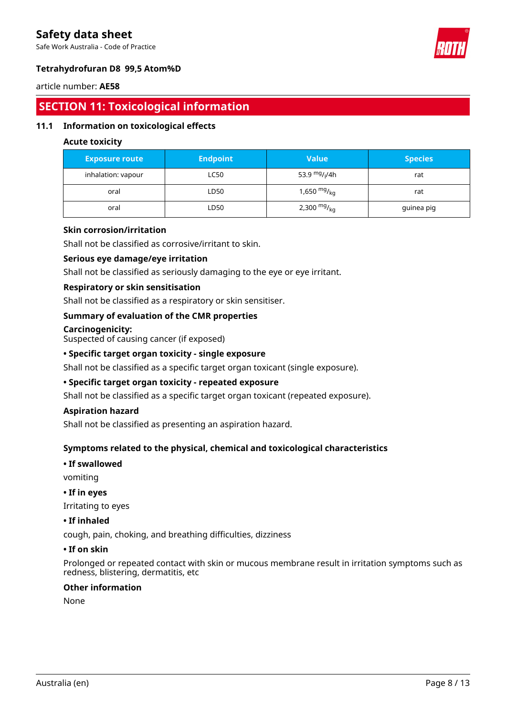Safe Work Australia - Code of Practice



# **Tetrahydrofuran D8 99,5 Atom%D**

## article number: **AE58**

# **SECTION 11: Toxicological information**

# **11.1 Information on toxicological effects**

# **Acute toxicity**

| <b>Exposure route</b> | <b>Endpoint</b> | <b>Value</b>              | <b>Species</b> |
|-----------------------|-----------------|---------------------------|----------------|
| inhalation: vapour    | LC50            | 53.9 mg/ <sub>l</sub> /4h | rat            |
| oral                  | LD50            | 1,650 $mg/kq$             | rat            |
| oral                  | LD50            | 2,300 $mg/_{kq}$          | guinea pig     |

# **Skin corrosion/irritation**

Shall not be classified as corrosive/irritant to skin.

## **Serious eye damage/eye irritation**

Shall not be classified as seriously damaging to the eye or eye irritant.

## **Respiratory or skin sensitisation**

Shall not be classified as a respiratory or skin sensitiser.

## **Summary of evaluation of the CMR properties**

#### **Carcinogenicity:**

Suspected of causing cancer (if exposed)

# **• Specific target organ toxicity - single exposure**

Shall not be classified as a specific target organ toxicant (single exposure).

# **• Specific target organ toxicity - repeated exposure**

Shall not be classified as a specific target organ toxicant (repeated exposure).

## **Aspiration hazard**

Shall not be classified as presenting an aspiration hazard.

## **Symptoms related to the physical, chemical and toxicological characteristics**

# **• If swallowed**

vomiting

## **• If in eyes**

Irritating to eyes

# **• If inhaled**

cough, pain, choking, and breathing difficulties, dizziness

#### **• If on skin**

Prolonged or repeated contact with skin or mucous membrane result in irritation symptoms such as redness, blistering, dermatitis, etc

## **Other information**

None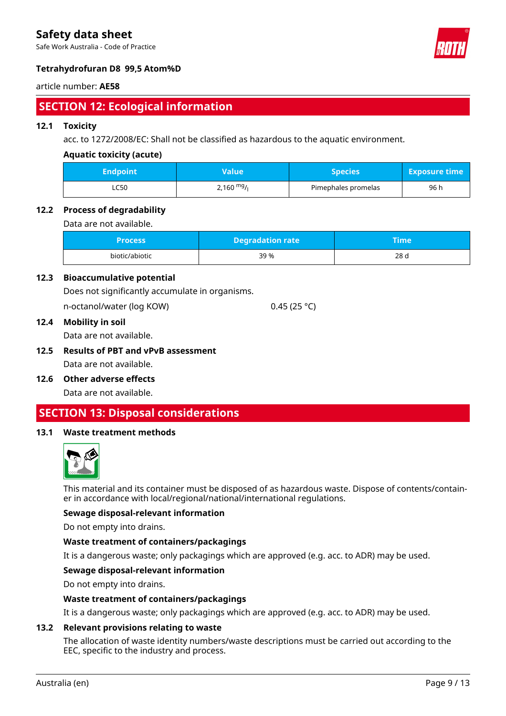Safe Work Australia - Code of Practice



# **Tetrahydrofuran D8 99,5 Atom%D**

# article number: **AE58**

# **SECTION 12: Ecological information**

# **12.1 Toxicity**

acc. to 1272/2008/EC: Shall not be classified as hazardous to the aquatic environment.

# **Aquatic toxicity (acute)**

| <b>Endpoint</b> | Value       | Species             | <b>Exposure time</b> |
|-----------------|-------------|---------------------|----------------------|
| ـ C50ـ          | 2,160 $mg/$ | Pimephales promelas | 96 h                 |

## **12.2 Process of degradability**

Data are not available.

| <b>Process</b> | <b>Degradation rate</b> | <b>Time</b> |  |
|----------------|-------------------------|-------------|--|
| biotic/abiotic | 39 %                    | 28 d        |  |

# **12.3 Bioaccumulative potential**

Does not significantly accumulate in organisms.

n-octanol/water (log KOW) 0.45 (25 °C)

#### **12.4 Mobility in soil**

Data are not available.

**12.5 Results of PBT and vPvB assessment** Data are not available.

## **12.6 Other adverse effects**

Data are not available.

# **SECTION 13: Disposal considerations**

# **13.1 Waste treatment methods**



This material and its container must be disposed of as hazardous waste. Dispose of contents/container in accordance with local/regional/national/international regulations.

## **Sewage disposal-relevant information**

Do not empty into drains.

## **Waste treatment of containers/packagings**

It is a dangerous waste; only packagings which are approved (e.g. acc. to ADR) may be used.

## **Sewage disposal-relevant information**

Do not empty into drains.

## **Waste treatment of containers/packagings**

It is a dangerous waste; only packagings which are approved (e.g. acc. to ADR) may be used.

#### **13.2 Relevant provisions relating to waste**

The allocation of waste identity numbers/waste descriptions must be carried out according to the EEC, specific to the industry and process.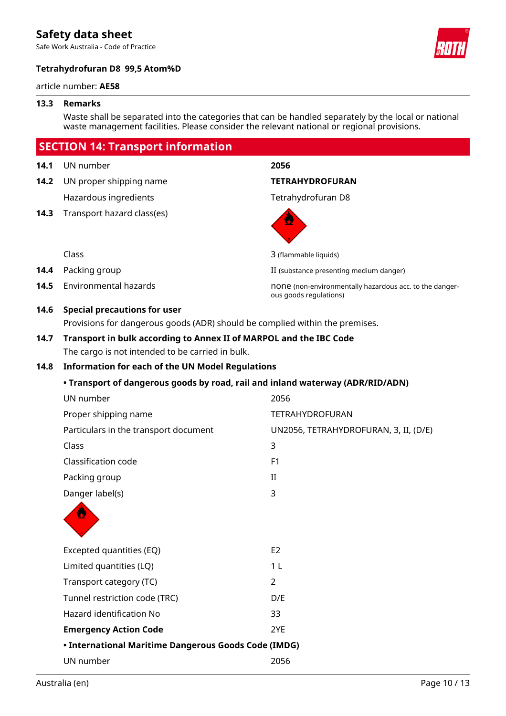Safe Work Australia - Code of Practice

# **Tetrahydrofuran D8 99,5 Atom%D**

#### article number: **AE58**

#### **13.3 Remarks**

Waste shall be separated into the categories that can be handled separately by the local or national waste management facilities. Please consider the relevant national or regional provisions.

# **SECTION 14: Transport information**

- **14.1** UN number **2056**
- **14.2** UN proper shipping name **TETRAHYDROFURAN** Hazardous ingredients Tetrahydrofuran D8
- **14.3** Transport hazard class(es)

ous goods regulations)



Class 3 (flammable liquids)

- **14.4** Packing group **II** (substance presenting medium danger)
- **14.5** Environmental hazards none is none (non-environmentally hazardous acc. to the danger-

# **14.6 Special precautions for user**

Provisions for dangerous goods (ADR) should be complied within the premises.

# **14.7 Transport in bulk according to Annex II of MARPOL and the IBC Code**

The cargo is not intended to be carried in bulk.

# **14.8 Information for each of the UN Model Regulations**

## **• Transport of dangerous goods by road, rail and inland waterway (ADR/RID/ADN)**

|                                                      | UN number                             | 2056                                  |  |
|------------------------------------------------------|---------------------------------------|---------------------------------------|--|
|                                                      | Proper shipping name                  | <b>TETRAHYDROFURAN</b>                |  |
|                                                      | Particulars in the transport document | UN2056, TETRAHYDROFURAN, 3, II, (D/E) |  |
|                                                      | Class                                 | 3                                     |  |
|                                                      | Classification code                   | F <sub>1</sub>                        |  |
|                                                      | Packing group                         | $\rm II$                              |  |
|                                                      | Danger label(s)                       | 3                                     |  |
|                                                      |                                       |                                       |  |
|                                                      | Excepted quantities (EQ)              | E <sub>2</sub>                        |  |
|                                                      | Limited quantities (LQ)               | 1 <sub>L</sub>                        |  |
|                                                      | Transport category (TC)               | 2                                     |  |
|                                                      | Tunnel restriction code (TRC)         | D/E                                   |  |
|                                                      | Hazard identification No              | 33                                    |  |
|                                                      | <b>Emergency Action Code</b>          | 2YE                                   |  |
| • International Maritime Dangerous Goods Code (IMDG) |                                       |                                       |  |
|                                                      | UN number                             | 2056                                  |  |
|                                                      |                                       |                                       |  |

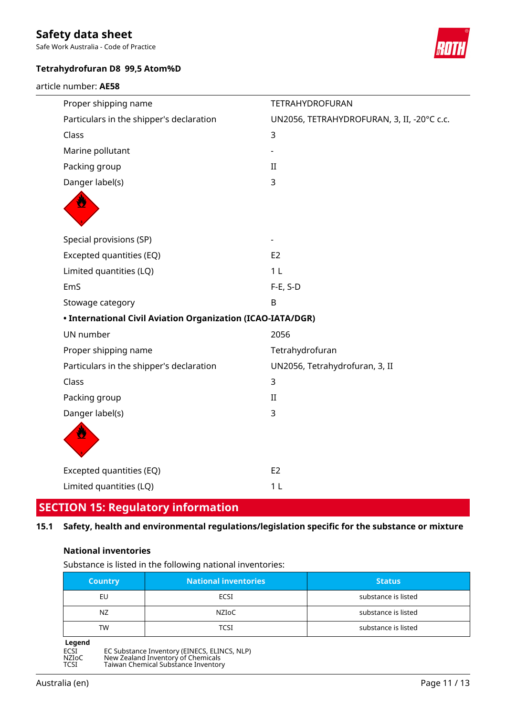Safe Work Australia - Code of Practice

# **Tetrahydrofuran D8 99,5 Atom%D**

article number: **AE58**



| Proper shipping name                                               | TETRAHYDROFURAN                            |  |
|--------------------------------------------------------------------|--------------------------------------------|--|
| Particulars in the shipper's declaration                           | UN2056, TETRAHYDROFURAN, 3, II, -20°C c.c. |  |
| Class                                                              | 3                                          |  |
| Marine pollutant                                                   |                                            |  |
| Packing group                                                      | II                                         |  |
| Danger label(s)                                                    | 3                                          |  |
|                                                                    |                                            |  |
|                                                                    |                                            |  |
| Special provisions (SP)                                            |                                            |  |
| Excepted quantities (EQ)                                           | E <sub>2</sub>                             |  |
| Limited quantities (LQ)                                            | 1 <sub>L</sub>                             |  |
| EmS                                                                | $F-E$ , S-D                                |  |
| Stowage category                                                   | B                                          |  |
| <b>• International Civil Aviation Organization (ICAO-IATA/DGR)</b> |                                            |  |
| UN number                                                          | 2056                                       |  |
| Proper shipping name                                               | Tetrahydrofuran                            |  |
| Particulars in the shipper's declaration                           | UN2056, Tetrahydrofuran, 3, II             |  |
| Class                                                              | 3                                          |  |
| Packing group                                                      | $\rm II$                                   |  |
| Danger label(s)                                                    | 3                                          |  |
|                                                                    |                                            |  |
| Excepted quantities (EQ)                                           | E <sub>2</sub>                             |  |
| Limited quantities (LQ)                                            | 1 <sub>L</sub>                             |  |
|                                                                    |                                            |  |

# **SECTION 15: Regulatory information**

# **15.1 Safety, health and environmental regulations/legislation specific for the substance or mixture**

# **National inventories**

Substance is listed in the following national inventories:

| <b>Country</b> | <b>National inventories</b> | <b>Status</b>       |
|----------------|-----------------------------|---------------------|
| EU             | ECSI                        | substance is listed |
| NZ.            | NZIoC                       | substance is listed |
| TW             | TCSI                        | substance is listed |
| hnana          |                             |                     |



ECSI EC Substance Inventory (EINECS, ELINCS, NLP) NZIoC New Zealand Inventory of Chemicals TCSI Taiwan Chemical Substance Inventory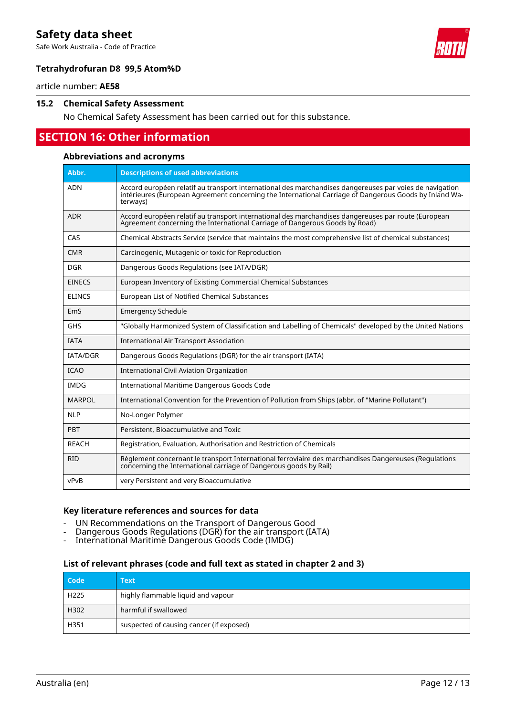Safe Work Australia - Code of Practice



# **Tetrahydrofuran D8 99,5 Atom%D**

article number: **AE58**

#### **15.2 Chemical Safety Assessment**

No Chemical Safety Assessment has been carried out for this substance.

# **SECTION 16: Other information**

#### **Abbreviations and acronyms**

| Abbr.           | <b>Descriptions of used abbreviations</b>                                                                                                                                                                                     |
|-----------------|-------------------------------------------------------------------------------------------------------------------------------------------------------------------------------------------------------------------------------|
| <b>ADN</b>      | Accord européen relatif au transport international des marchandises dangereuses par voies de navigation<br>intérieures (European Agreement concerning the International Carriage of Dangerous Goods by Inland Wa-<br>terways) |
| <b>ADR</b>      | Accord européen relatif au transport international des marchandises dangereuses par route (European<br>Agreement concerning the International Carriage of Dangerous Goods by Road)                                            |
| CAS             | Chemical Abstracts Service (service that maintains the most comprehensive list of chemical substances)                                                                                                                        |
| <b>CMR</b>      | Carcinogenic, Mutagenic or toxic for Reproduction                                                                                                                                                                             |
| <b>DGR</b>      | Dangerous Goods Regulations (see IATA/DGR)                                                                                                                                                                                    |
| <b>EINECS</b>   | European Inventory of Existing Commercial Chemical Substances                                                                                                                                                                 |
| <b>ELINCS</b>   | European List of Notified Chemical Substances                                                                                                                                                                                 |
| EmS             | <b>Emergency Schedule</b>                                                                                                                                                                                                     |
| GHS             | "Globally Harmonized System of Classification and Labelling of Chemicals" developed by the United Nations                                                                                                                     |
| <b>IATA</b>     | <b>International Air Transport Association</b>                                                                                                                                                                                |
| <b>IATA/DGR</b> | Dangerous Goods Regulations (DGR) for the air transport (IATA)                                                                                                                                                                |
| <b>ICAO</b>     | International Civil Aviation Organization                                                                                                                                                                                     |
| <b>IMDG</b>     | International Maritime Dangerous Goods Code                                                                                                                                                                                   |
| <b>MARPOL</b>   | International Convention for the Prevention of Pollution from Ships (abbr. of "Marine Pollutant")                                                                                                                             |
| <b>NLP</b>      | No-Longer Polymer                                                                                                                                                                                                             |
| PBT             | Persistent, Bioaccumulative and Toxic                                                                                                                                                                                         |
| <b>REACH</b>    | Registration, Evaluation, Authorisation and Restriction of Chemicals                                                                                                                                                          |
| <b>RID</b>      | Règlement concernant le transport International ferroviaire des marchandises Dangereuses (Regulations<br>concerning the International carriage of Dangerous goods by Rail)                                                    |
| vPvB            | very Persistent and very Bioaccumulative                                                                                                                                                                                      |

#### **Key literature references and sources for data**

- UN Recommendations on the Transport of Dangerous Good
- Dangerous Goods Regulations (DGR) for the air transport (IATA)
- International Maritime Dangerous Goods Code (IMDG)

#### **List of relevant phrases (code and full text as stated in chapter 2 and 3)**

| Code             | Text                                     |
|------------------|------------------------------------------|
| H <sub>225</sub> | highly flammable liquid and vapour       |
| H302             | harmful if swallowed                     |
| H351             | suspected of causing cancer (if exposed) |